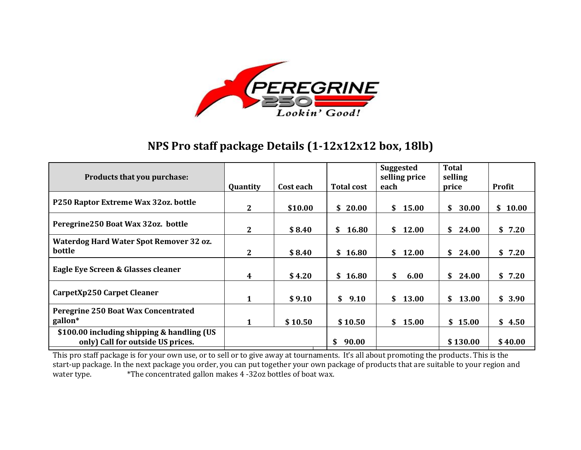

## **NPS Pro staff package Details (1-12x12x12 box, 18lb)**

| Products that you purchase:                                                     |              |           |                   | <b>Suggested</b><br>selling price | <b>Total</b><br>selling |             |
|---------------------------------------------------------------------------------|--------------|-----------|-------------------|-----------------------------------|-------------------------|-------------|
|                                                                                 | Quantity     | Cost each | <b>Total cost</b> | each                              | price                   | Profit      |
| P250 Raptor Extreme Wax 32oz. bottle                                            | $\mathbf{2}$ | \$10.00   | \$20.00           | \$<br>15.00                       | \$<br>30.00             | 10.00<br>\$ |
| Peregrine 250 Boat Wax 32oz. bottle                                             | $2^{\circ}$  | \$8.40    | \$<br>16.80       | \$<br>12.00                       | \$<br>24.00             | \$<br>7.20  |
| Waterdog Hard Water Spot Remover 32 oz.<br>bottle                               | $2^{\circ}$  | \$8.40    | \$16.80           | 12.00<br>SS.                      | \$<br>24.00             | \$7.20      |
| Eagle Eye Screen & Glasses cleaner                                              | 4            | \$4.20    | \$16.80           | \$<br>6.00                        | \$<br>24.00             | \$7.20      |
| CarpetXp250 Carpet Cleaner                                                      | $\mathbf{1}$ | \$9.10    | \$9.10            | \$<br>13.00                       | \$<br>13.00             | \$3.90      |
| Peregrine 250 Boat Wax Concentrated                                             |              |           |                   |                                   |                         |             |
| gallon*                                                                         | 1            | \$10.50   | \$10.50           | \$<br>15.00                       | \$15.00                 | \$4.50      |
| \$100.00 including shipping & handling (US<br>only) Call for outside US prices. |              |           | \$<br>90.00       |                                   | \$130.00                | \$40.00     |

This pro staff package is for your own use, or to sell or to give away at tournaments. It's all about promoting the products. This is the start-up package. In the next package you order, you can put together your own package of products that are suitable to your region and water type. \*The concentrated gallon makes 4 -32oz bottles of boat wax.